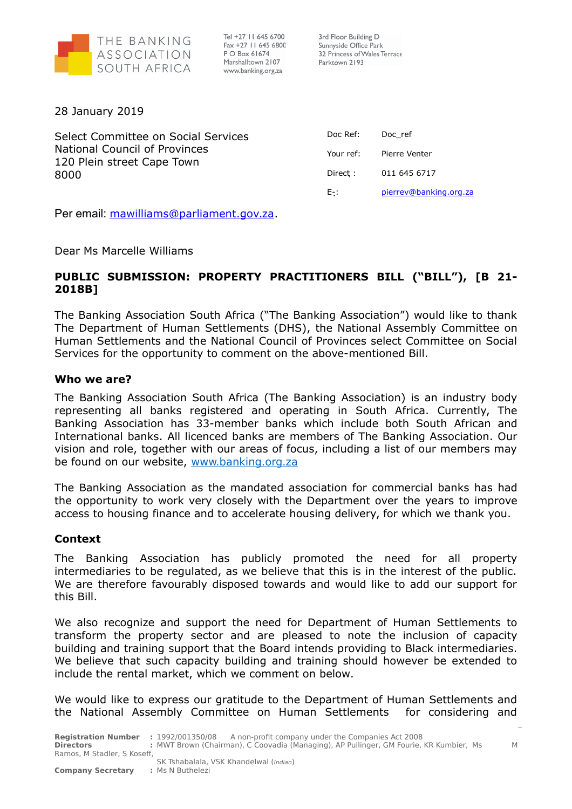

Tel +27 11 645 6700 Fax +27 11 645 6800 P O Box 61674 Marshalltown 2107 www.banking.org.za

3rd Floor Building D Sunnyside Office Park 32 Princess of Wales Terrace Parktown 2193

28 January 2019

Select Committee on Social Services National Council of Provinces 120 Plein street Cape Town 8000

| Doc Ref:  | Doc ref                |
|-----------|------------------------|
| Your ref: | Pierre Venter          |
| Direct :  | 011 645 6717           |
| E-:       | pierrev@banking.org.za |

Per email: [mawilliams@parliament.gov.za.](mailto:mawilliams@parliament.gov.za)

Dear Ms Marcelle Williams

# **PUBLIC SUBMISSION: PROPERTY PRACTITIONERS BILL ("BILL"), [B 21- 2018B]**

The Banking Association South Africa ("The Banking Association") would like to thank The Department of Human Settlements (DHS), the National Assembly Committee on Human Settlements and the National Council of Provinces select Committee on Social Services for the opportunity to comment on the above-mentioned Bill.

# **Who we are?**

The Banking Association South Africa (The Banking Association) is an industry body representing all banks registered and operating in South Africa. Currently, The Banking Association has 33-member banks which include both South African and International banks. All licenced banks are members of The Banking Association. Our vision and role, together with our areas of focus, including a list of our members may be found on our website, [www.banking.org.za](http://www.banking.org.za/)

The Banking Association as the mandated association for commercial banks has had the opportunity to work very closely with the Department over the years to improve access to housing finance and to accelerate housing delivery, for which we thank you.

# **Context**

The Banking Association has publicly promoted the need for all property intermediaries to be regulated, as we believe that this is in the interest of the public. We are therefore favourably disposed towards and would like to add our support for this Bill.

We also recognize and support the need for Department of Human Settlements to transform the property sector and are pleased to note the inclusion of capacity building and training support that the Board intends providing to Black intermediaries. We believe that such capacity building and training should however be extended to include the rental market, which we comment on below.

We would like to express our gratitude to the Department of Human Settlements and the National Assembly Committee on Human Settlements for considering and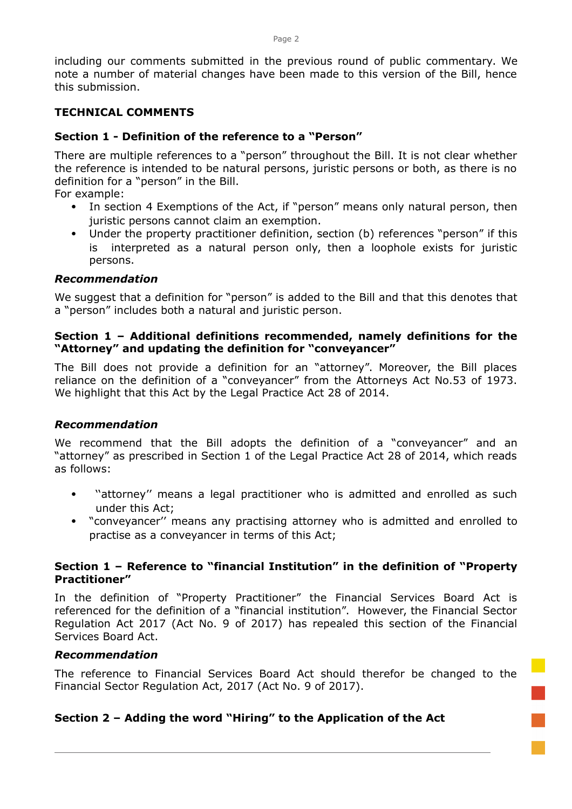including our comments submitted in the previous round of public commentary. We note a number of material changes have been made to this version of the Bill, hence this submission.

# **TECHNICAL COMMENTS**

### **Section 1 - Definition of the reference to a "Person"**

There are multiple references to a "person" throughout the Bill. It is not clear whether the reference is intended to be natural persons, juristic persons or both, as there is no definition for a "person" in the Bill.

For example:

- In section 4 Exemptions of the Act, if "person" means only natural person, then juristic persons cannot claim an exemption.
- Under the property practitioner definition, section (b) references "person" if this is interpreted as a natural person only, then a loophole exists for juristic persons.

### *Recommendation*

We suggest that a definition for "person" is added to the Bill and that this denotes that a "person" includes both a natural and juristic person.

### **Section 1 – Additional definitions recommended, namely definitions for the "Attorney" and updating the definition for "conveyancer"**

The Bill does not provide a definition for an "attorney". Moreover, the Bill places reliance on the definition of a "conveyancer" from the Attorneys Act No.53 of 1973. We highlight that this Act by the Legal Practice Act 28 of 2014.

# *Recommendation*

We recommend that the Bill adopts the definition of a "conveyancer" and an "attorney" as prescribed in Section 1 of the Legal Practice Act 28 of 2014, which reads as follows:

- "attorney" means a legal practitioner who is admitted and enrolled as such under this Act;
- "conveyancer'' means any practising attorney who is admitted and enrolled to practise as a conveyancer in terms of this Act;

# **Section 1 – Reference to "financial Institution" in the definition of "Property Practitioner"**

In the definition of "Property Practitioner" the Financial Services Board Act is referenced for the definition of a "financial institution". However, the Financial Sector Regulation Act 2017 (Act No. 9 of 2017) has repealed this section of the Financial Services Board Act.

### *Recommendation*

The reference to Financial Services Board Act should therefor be changed to the Financial Sector Regulation Act, 2017 (Act No. 9 of 2017).

# **Section 2 – Adding the word "Hiring" to the Application of the Act**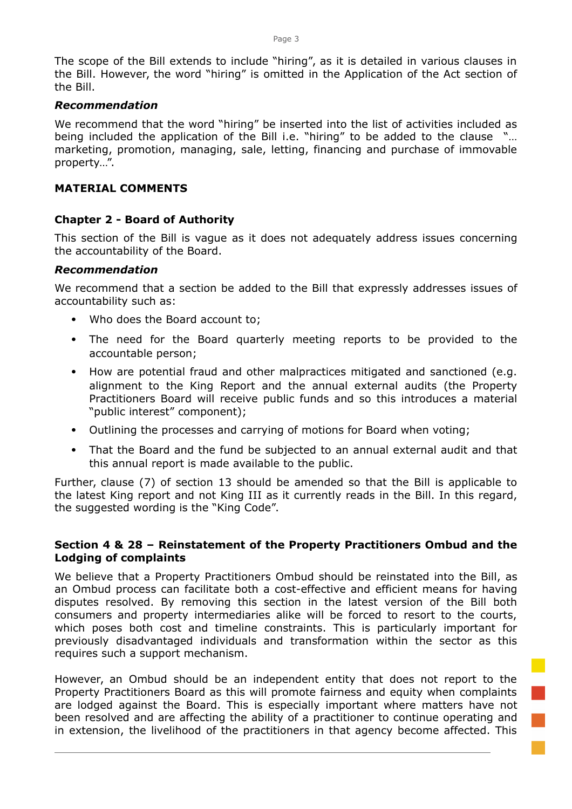The scope of the Bill extends to include "hiring", as it is detailed in various clauses in the Bill. However, the word "hiring" is omitted in the Application of the Act section of the Bill.

# *Recommendation*

We recommend that the word "hiring" be inserted into the list of activities included as being included the application of the Bill i.e. "hiring" to be added to the clause "… marketing, promotion, managing, sale, letting, financing and purchase of immovable property…".

### **MATERIAL COMMENTS**

### **Chapter 2 - Board of Authority**

This section of the Bill is vague as it does not adequately address issues concerning the accountability of the Board.

### *Recommendation*

We recommend that a section be added to the Bill that expressly addresses issues of accountability such as:

- Who does the Board account to;
- The need for the Board quarterly meeting reports to be provided to the accountable person;
- How are potential fraud and other malpractices mitigated and sanctioned (e.g. alignment to the King Report and the annual external audits (the Property Practitioners Board will receive public funds and so this introduces a material "public interest" component);
- Outlining the processes and carrying of motions for Board when voting;
- That the Board and the fund be subjected to an annual external audit and that this annual report is made available to the public.

Further, clause (7) of section 13 should be amended so that the Bill is applicable to the latest King report and not King III as it currently reads in the Bill. In this regard, the suggested wording is the "King Code".

### **Section 4 & 28 – Reinstatement of the Property Practitioners Ombud and the Lodging of complaints**

We believe that a Property Practitioners Ombud should be reinstated into the Bill, as an Ombud process can facilitate both a cost-effective and efficient means for having disputes resolved. By removing this section in the latest version of the Bill both consumers and property intermediaries alike will be forced to resort to the courts, which poses both cost and timeline constraints. This is particularly important for previously disadvantaged individuals and transformation within the sector as this requires such a support mechanism.

However, an Ombud should be an independent entity that does not report to the Property Practitioners Board as this will promote fairness and equity when complaints are lodged against the Board. This is especially important where matters have not been resolved and are affecting the ability of a practitioner to continue operating and in extension, the livelihood of the practitioners in that agency become affected. This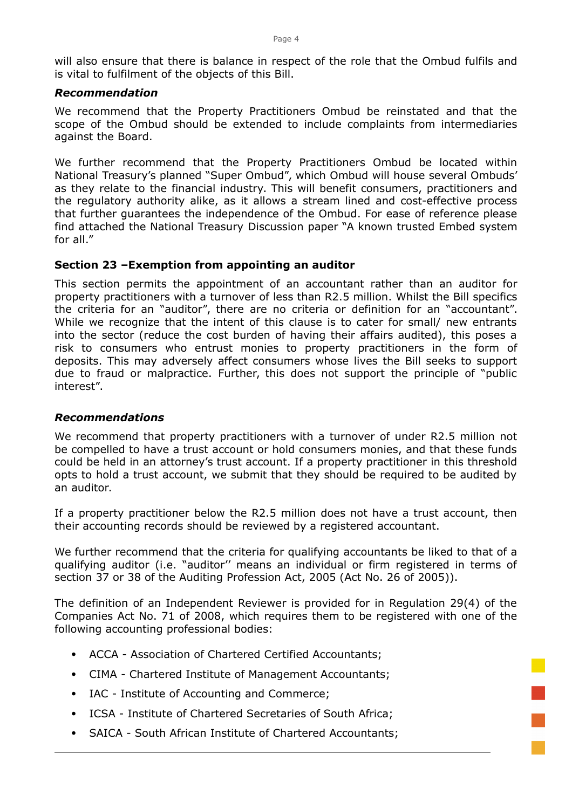will also ensure that there is balance in respect of the role that the Ombud fulfils and is vital to fulfilment of the objects of this Bill.

#### *Recommendation*

We recommend that the Property Practitioners Ombud be reinstated and that the scope of the Ombud should be extended to include complaints from intermediaries against the Board.

We further recommend that the Property Practitioners Ombud be located within National Treasury's planned "Super Ombud", which Ombud will house several Ombuds' as they relate to the financial industry. This will benefit consumers, practitioners and the regulatory authority alike, as it allows a stream lined and cost-effective process that further guarantees the independence of the Ombud. For ease of reference please find attached the National Treasury Discussion paper "A known trusted Embed system for all."

#### **Section 23 –Exemption from appointing an auditor**

This section permits the appointment of an accountant rather than an auditor for property practitioners with a turnover of less than R2.5 million. Whilst the Bill specifics the criteria for an "auditor", there are no criteria or definition for an "accountant". While we recognize that the intent of this clause is to cater for small/ new entrants into the sector (reduce the cost burden of having their affairs audited), this poses a risk to consumers who entrust monies to property practitioners in the form of deposits. This may adversely affect consumers whose lives the Bill seeks to support due to fraud or malpractice. Further, this does not support the principle of "public interest".

#### *Recommendations*

We recommend that property practitioners with a turnover of under R2.5 million not be compelled to have a trust account or hold consumers monies, and that these funds could be held in an attorney's trust account. If a property practitioner in this threshold opts to hold a trust account, we submit that they should be required to be audited by an auditor.

If a property practitioner below the R2.5 million does not have a trust account, then their accounting records should be reviewed by a registered accountant.

We further recommend that the criteria for qualifying accountants be liked to that of a qualifying auditor (i.e. "auditor'' means an individual or firm registered in terms of section 37 or 38 of the Auditing Profession Act, 2005 (Act No. 26 of 2005)).

The definition of an Independent Reviewer is provided for in Regulation 29(4) of the Companies Act No. 71 of 2008, which requires them to be registered with one of the following accounting professional bodies:

- ACCA Association of Chartered Certified Accountants;
- CIMA Chartered Institute of Management Accountants;
- IAC Institute of Accounting and Commerce;
- ICSA Institute of Chartered Secretaries of South Africa;
- SAICA South African Institute of Chartered Accountants;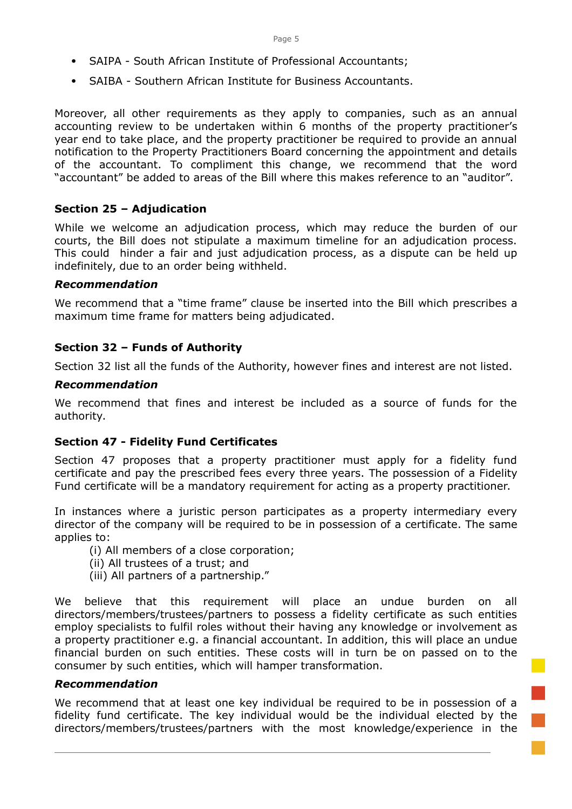- SAIPA South African Institute of Professional Accountants;
- SAIBA Southern African Institute for Business Accountants.

Moreover, all other requirements as they apply to companies, such as an annual accounting review to be undertaken within 6 months of the property practitioner's year end to take place, and the property practitioner be required to provide an annual notification to the Property Practitioners Board concerning the appointment and details of the accountant. To compliment this change, we recommend that the word "accountant" be added to areas of the Bill where this makes reference to an "auditor".

# **Section 25 – Adjudication**

While we welcome an adjudication process, which may reduce the burden of our courts, the Bill does not stipulate a maximum timeline for an adjudication process. This could hinder a fair and just adjudication process, as a dispute can be held up indefinitely, due to an order being withheld.

### *Recommendation*

We recommend that a "time frame" clause be inserted into the Bill which prescribes a maximum time frame for matters being adjudicated.

# **Section 32 – Funds of Authority**

Section 32 list all the funds of the Authority, however fines and interest are not listed.

### *Recommendation*

We recommend that fines and interest be included as a source of funds for the authority.

# **Section 47 - Fidelity Fund Certificates**

Section 47 proposes that a property practitioner must apply for a fidelity fund certificate and pay the prescribed fees every three years. The possession of a Fidelity Fund certificate will be a mandatory requirement for acting as a property practitioner.

In instances where a juristic person participates as a property intermediary every director of the company will be required to be in possession of a certificate. The same applies to:

- (i) All members of a close corporation;
- (ii) All trustees of a trust; and
- (iii) All partners of a partnership."

We believe that this requirement will place an undue burden on all directors/members/trustees/partners to possess a fidelity certificate as such entities employ specialists to fulfil roles without their having any knowledge or involvement as a property practitioner e.g. a financial accountant. In addition, this will place an undue financial burden on such entities. These costs will in turn be on passed on to the consumer by such entities, which will hamper transformation.

### *Recommendation*

We recommend that at least one key individual be required to be in possession of a fidelity fund certificate. The key individual would be the individual elected by the directors/members/trustees/partners with the most knowledge/experience in the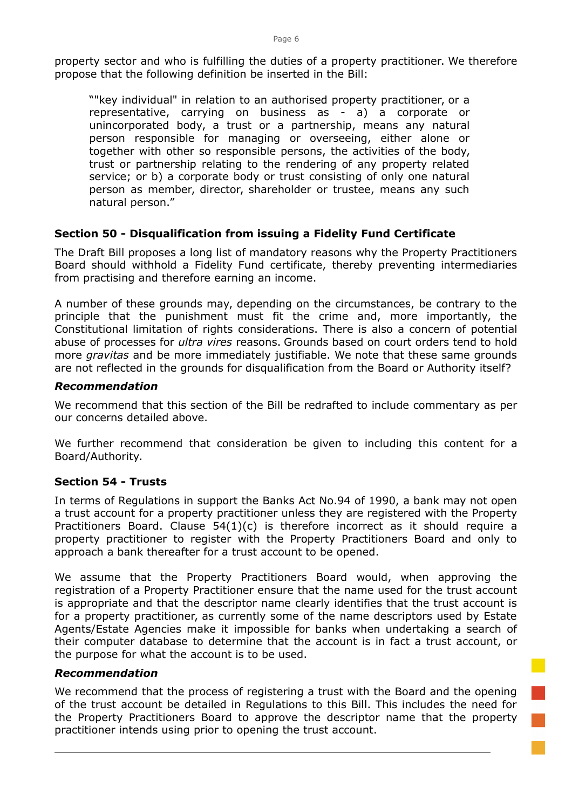property sector and who is fulfilling the duties of a property practitioner. We therefore propose that the following definition be inserted in the Bill:

""key individual" in relation to an authorised property practitioner, or a representative, carrying on business as - a) a corporate or unincorporated body, a trust or a partnership, means any natural person responsible for managing or overseeing, either alone or together with other so responsible persons, the activities of the body, trust or partnership relating to the rendering of any property related service; or b) a corporate body or trust consisting of only one natural person as member, director, shareholder or trustee, means any such natural person."

# **Section 50 - Disqualification from issuing a Fidelity Fund Certificate**

The Draft Bill proposes a long list of mandatory reasons why the Property Practitioners Board should withhold a Fidelity Fund certificate, thereby preventing intermediaries from practising and therefore earning an income.

A number of these grounds may, depending on the circumstances, be contrary to the principle that the punishment must fit the crime and, more importantly, the Constitutional limitation of rights considerations. There is also a concern of potential abuse of processes for *ultra vires* reasons. Grounds based on court orders tend to hold more *gravitas* and be more immediately justifiable. We note that these same grounds are not reflected in the grounds for disqualification from the Board or Authority itself?

### *Recommendation*

We recommend that this section of the Bill be redrafted to include commentary as per our concerns detailed above.

We further recommend that consideration be given to including this content for a Board/Authority.

# **Section 54 - Trusts**

In terms of Regulations in support the Banks Act No.94 of 1990, a bank may not open a trust account for a property practitioner unless they are registered with the Property Practitioners Board. Clause 54(1)(c) is therefore incorrect as it should require a property practitioner to register with the Property Practitioners Board and only to approach a bank thereafter for a trust account to be opened.

We assume that the Property Practitioners Board would, when approving the registration of a Property Practitioner ensure that the name used for the trust account is appropriate and that the descriptor name clearly identifies that the trust account is for a property practitioner, as currently some of the name descriptors used by Estate Agents/Estate Agencies make it impossible for banks when undertaking a search of their computer database to determine that the account is in fact a trust account, or the purpose for what the account is to be used.

### *Recommendation*

We recommend that the process of registering a trust with the Board and the opening of the trust account be detailed in Regulations to this Bill. This includes the need for the Property Practitioners Board to approve the descriptor name that the property practitioner intends using prior to opening the trust account.